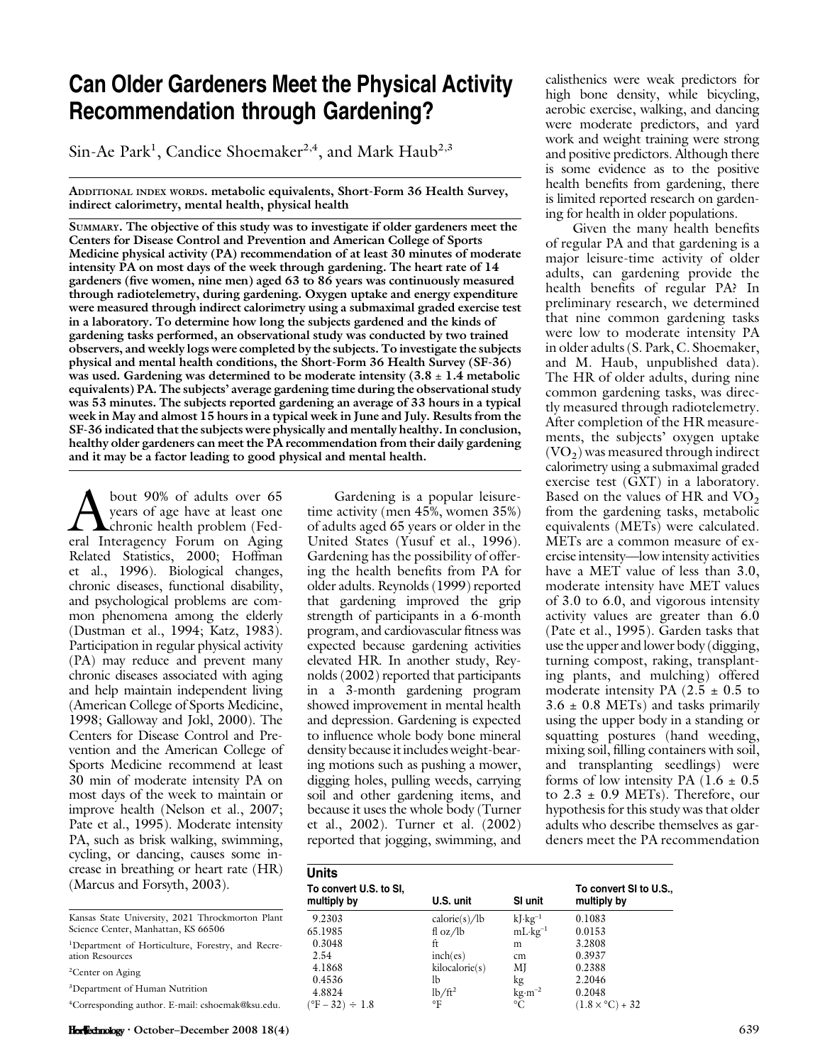# Can Older Gardeners Meet the Physical Activity Recommendation through Gardening?

Sin-Ae Park<sup>1</sup>, Candice Shoemaker<sup>2,4</sup>, and Mark Haub<sup>2,3</sup>

ADDITIONAL INDEX WORDS. metabolic equivalents, Short-Form 36 Health Survey, indirect calorimetry, mental health, physical health

SUMMARY. The objective of this study was to investigate if older gardeners meet the Centers for Disease Control and Prevention and American College of Sports Medicine physical activity (PA) recommendation of at least 30 minutes of moderate intensity PA on most days of the week through gardening. The heart rate of 14 gardeners (five women, nine men) aged 63 to 86 years was continuously measured through radiotelemetry, during gardening. Oxygen uptake and energy expenditure were measured through indirect calorimetry using a submaximal graded exercise test in a laboratory. To determine how long the subjects gardened and the kinds of gardening tasks performed, an observational study was conducted by two trained observers, and weekly logs were completed by the subjects. To investigate the subjects physical and mental health conditions, the Short-Form 36 Health Survey (SF-36) was used. Gardening was determined to be moderate intensity  $(3.8 \pm 1.4 \text{ metabolic})$ equivalents) PA. The subjects' average gardening time during the observational study was 53 minutes. The subjects reported gardening an average of 33 hours in a typical week in May and almost 15 hours in a typical week in June and July. Results from the SF-36 indicated that the subjects were physically and mentally healthy. In conclusion, healthy older gardeners can meet the PA recommendation from their daily gardening and it may be a factor leading to good physical and mental health.

bout 90% of adults over 65<br>years of age have at least one<br>eral Interagency Forum on Aging years of age have at least one chronic health problem (Federal Interagency Forum on Aging Related Statistics, 2000; Hoffman et al., 1996). Biological changes, chronic diseases, functional disability, and psychological problems are common phenomena among the elderly (Dustman et al., 1994; Katz, 1983). Participation in regular physical activity (PA) may reduce and prevent many chronic diseases associated with aging and help maintain independent living (American College of Sports Medicine, 1998; Galloway and Jokl, 2000). The Centers for Disease Control and Prevention and the American College of Sports Medicine recommend at least 30 min of moderate intensity PA on most days of the week to maintain or improve health (Nelson et al., 2007; Pate et al., 1995). Moderate intensity PA, such as brisk walking, swimming, cycling, or dancing, causes some increase in breathing or heart rate (HR) (Marcus and Forsyth, 2003).

|  |                                     | Kansas State University, 2021 Throckmorton Plant |  |
|--|-------------------------------------|--------------------------------------------------|--|
|  | Science Center, Manhattan, KS 66506 |                                                  |  |

1 Department of Horticulture, Forestry, and Recreation Resources

<sup>2</sup>Center on Aging

3 Department of Human Nutrition

4 Corresponding author. E-mail: cshoemak@ksu.edu.

Gardening is a popular leisuretime activity (men 45%, women 35%) of adults aged 65 years or older in the United States (Yusuf et al., 1996). Gardening has the possibility of offering the health benefits from PA for older adults. Reynolds (1999) reported that gardening improved the grip strength of participants in a 6-month program, and cardiovascular fitness was expected because gardening activities elevated HR. In another study, Reynolds (2002) reported that participants in a 3-month gardening program showed improvement in mental health and depression. Gardening is expected to influence whole body bone mineral density because it includes weight-bearing motions such as pushing a mower, digging holes, pulling weeds, carrying soil and other gardening items, and because it uses the whole body (Turner et al., 2002). Turner et al. (2002) reported that jogging, swimming, and

calisthenics were weak predictors for high bone density, while bicycling, aerobic exercise, walking, and dancing were moderate predictors, and yard work and weight training were strong and positive predictors. Although there is some evidence as to the positive health benefits from gardening, there is limited reported research on gardening for health in older populations.

Given the many health benefits of regular PA and that gardening is a major leisure-time activity of older adults, can gardening provide the health benefits of regular PA? In preliminary research, we determined that nine common gardening tasks were low to moderate intensity PA in older adults (S. Park, C. Shoemaker, and M. Haub, unpublished data). The HR of older adults, during nine common gardening tasks, was directly measured through radiotelemetry. After completion of the HR measurements, the subjects' oxygen uptake  $(VO<sub>2</sub>)$  was measured through indirect calorimetry using a submaximal graded exercise test (GXT) in a laboratory. Based on the values of HR and  $\overline{VO_2}$ from the gardening tasks, metabolic equivalents (METs) were calculated. METs are a common measure of exercise intensity—low intensity activities have a MET value of less than 3.0, moderate intensity have MET values of 3.0 to 6.0, and vigorous intensity activity values are greater than 6.0 (Pate et al., 1995). Garden tasks that use the upper and lower body (digging, turning compost, raking, transplanting plants, and mulching) offered moderate intensity PA  $(2.5 \pm 0.5)$  to  $3.6 \pm 0.8$  METs) and tasks primarily using the upper body in a standing or squatting postures (hand weeding, mixing soil, filling containers with soil, and transplanting seedlings) were forms of low intensity PA  $(1.6 \pm 0.5)$ to  $2.3 \pm 0.9$  METs). Therefore, our hypothesis for this study was that older adults who describe themselves as gardeners meet the PA recommendation

| <b>Units</b>                          |                     |                                 |                                       |
|---------------------------------------|---------------------|---------------------------------|---------------------------------------|
| To convert U.S. to SI,<br>multiply by | U.S. unit           | SI unit                         | To convert SI to U.S.,<br>multiply by |
| 9.2303                                | calorie(s)/lb       | $kJ \cdot kg^{-1}$              | 0.1083                                |
| 65.1985                               | fl oz/ $\mathbb{I}$ | $mL \cdot kg^{-1}$              | 0.0153                                |
| 0.3048                                | ft                  | m                               | 3.2808                                |
| 2.54                                  | inch(es)            | cm                              | 0.3937                                |
| 4.1868                                | kilocalorie(s)      | МJ                              | 0.2388                                |
| 0.4536                                | lb                  | kg                              | 2.2046                                |
| 4.8824                                | $lb/ft^2$           | $\text{kg} \cdot \text{m}^{-2}$ | 0.2048                                |
| $(^{\circ}F - 32) \div 1.8$           | °F                  | $^{\circ}C$                     | $(1.8 \times {}^{\circ}C) + 32$       |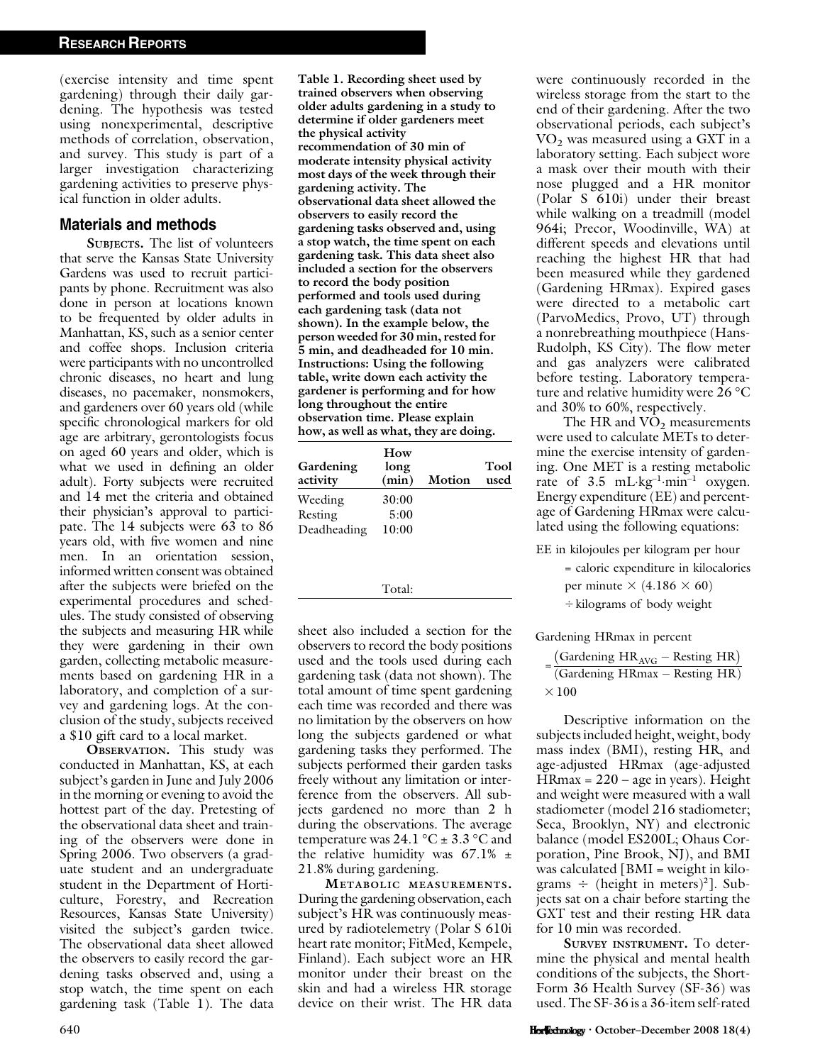(exercise intensity and time spent gardening) through their daily gardening. The hypothesis was tested using nonexperimental, descriptive methods of correlation, observation, and survey. This study is part of a larger investigation characterizing gardening activities to preserve physical function in older adults.

#### Materials and methods

SUBJECTS. The list of volunteers that serve the Kansas State University Gardens was used to recruit participants by phone. Recruitment was also done in person at locations known to be frequented by older adults in Manhattan, KS, such as a senior center and coffee shops. Inclusion criteria were participants with no uncontrolled chronic diseases, no heart and lung diseases, no pacemaker, nonsmokers, and gardeners over 60 years old (while specific chronological markers for old age are arbitrary, gerontologists focus on aged 60 years and older, which is what we used in defining an older adult). Forty subjects were recruited and 14 met the criteria and obtained their physician's approval to participate. The 14 subjects were 63 to 86 years old, with five women and nine men. In an orientation session, informed written consent was obtained after the subjects were briefed on the experimental procedures and schedules. The study consisted of observing the subjects and measuring HR while they were gardening in their own garden, collecting metabolic measurements based on gardening HR in a laboratory, and completion of a survey and gardening logs. At the conclusion of the study, subjects received a \$10 gift card to a local market.

OBSERVATION. This study was conducted in Manhattan, KS, at each subject's garden in June and July 2006 in the morning or evening to avoid the hottest part of the day. Pretesting of the observational data sheet and training of the observers were done in Spring 2006. Two observers (a graduate student and an undergraduate student in the Department of Horticulture, Forestry, and Recreation Resources, Kansas State University) visited the subject's garden twice. The observational data sheet allowed the observers to easily record the gardening tasks observed and, using a stop watch, the time spent on each gardening task (Table 1). The data

Table 1. Recording sheet used by trained observers when observing older adults gardening in a study to determine if older gardeners meet the physical activity recommendation of 30 min of moderate intensity physical activity most days of the week through their gardening activity. The observational data sheet allowed the observers to easily record the gardening tasks observed and, using a stop watch, the time spent on each gardening task. This data sheet also included a section for the observers to record the body position performed and tools used during each gardening task (data not shown). In the example below, the person weeded for 30 min, rested for 5 min, and deadheaded for 10 min. Instructions: Using the following table, write down each activity the gardener is performing and for how long throughout the entire observation time. Please explain how, as well as what, they are doing.

| Gardening<br>activity             | How<br>long<br>(min)   | Motion | Tool<br>used |
|-----------------------------------|------------------------|--------|--------------|
| Weeding<br>Resting<br>Deadheading | 30:00<br>5:00<br>10:00 |        |              |

Total:

sheet also included a section for the observers to record the body positions used and the tools used during each gardening task (data not shown). The total amount of time spent gardening each time was recorded and there was no limitation by the observers on how long the subjects gardened or what gardening tasks they performed. The subjects performed their garden tasks freely without any limitation or interference from the observers. All subjects gardened no more than 2 h during the observations. The average temperature was 24.1 °C  $\pm$  3.3 °C and the relative humidity was  $67.1\%$   $\pm$ 21.8% during gardening.

METABOLIC MEASUREMENTS. During the gardening observation, each subject's HR was continuously measured by radiotelemetry (Polar S 610i heart rate monitor; FitMed, Kempele, Finland). Each subject wore an HR monitor under their breast on the skin and had a wireless HR storage device on their wrist. The HR data

were continuously recorded in the wireless storage from the start to the end of their gardening. After the two observational periods, each subject's  $VO<sub>2</sub>$  was measured using a GXT in a laboratory setting. Each subject wore a mask over their mouth with their nose plugged and a HR monitor (Polar S 610i) under their breast while walking on a treadmill (model 964i; Precor, Woodinville, WA) at different speeds and elevations until reaching the highest HR that had been measured while they gardened (Gardening HRmax). Expired gases were directed to a metabolic cart (ParvoMedics, Provo, UT) through a nonrebreathing mouthpiece (Hans-Rudolph, KS City). The flow meter and gas analyzers were calibrated before testing. Laboratory temperature and relative humidity were 26 °C  $\,$ and 30% to 60%, respectively.

The HR and  $VO<sub>2</sub>$  measurements were used to calculate METs to determine the exercise intensity of gardening. One MET is a resting metabolic rate of 3.5 mL·kg<sup>-1</sup>·min<sup>-1</sup> oxygen. Energy expenditure (EE) and percentage of Gardening HRmax were calculated using the following equations:

EE in kilojoules per kilogram per hour

= caloric expenditure in kilocalories per minute  $\times$  (4.186  $\times$  60)  $\div$  kilograms of body weight

Gardening HRmax in percent

| (Gardening $HR_{AVG}$ – Resting HR) |
|-------------------------------------|
| (Gardening HRmax – Resting HR)      |
| $\times$ 100                        |

Descriptive information on the subjects included height, weight, body mass index (BMI), resting HR, and age-adjusted HRmax (age-adjusted  $H$ Rmax = 220 – age in years). Height and weight were measured with a wall stadiometer (model 216 stadiometer; Seca, Brooklyn, NY) and electronic balance (model ES200L; Ohaus Corporation, Pine Brook, NJ), and BMI was calculated  $[BMI = weight in kilo$ grams  $\div$  (height in meters)<sup>2</sup>]. Subjects sat on a chair before starting the GXT test and their resting HR data for 10 min was recorded.

SURVEY INSTRUMENT. To determine the physical and mental health conditions of the subjects, the Short-Form 36 Health Survey (SF-36) was used. The SF-36 is a 36-item self-rated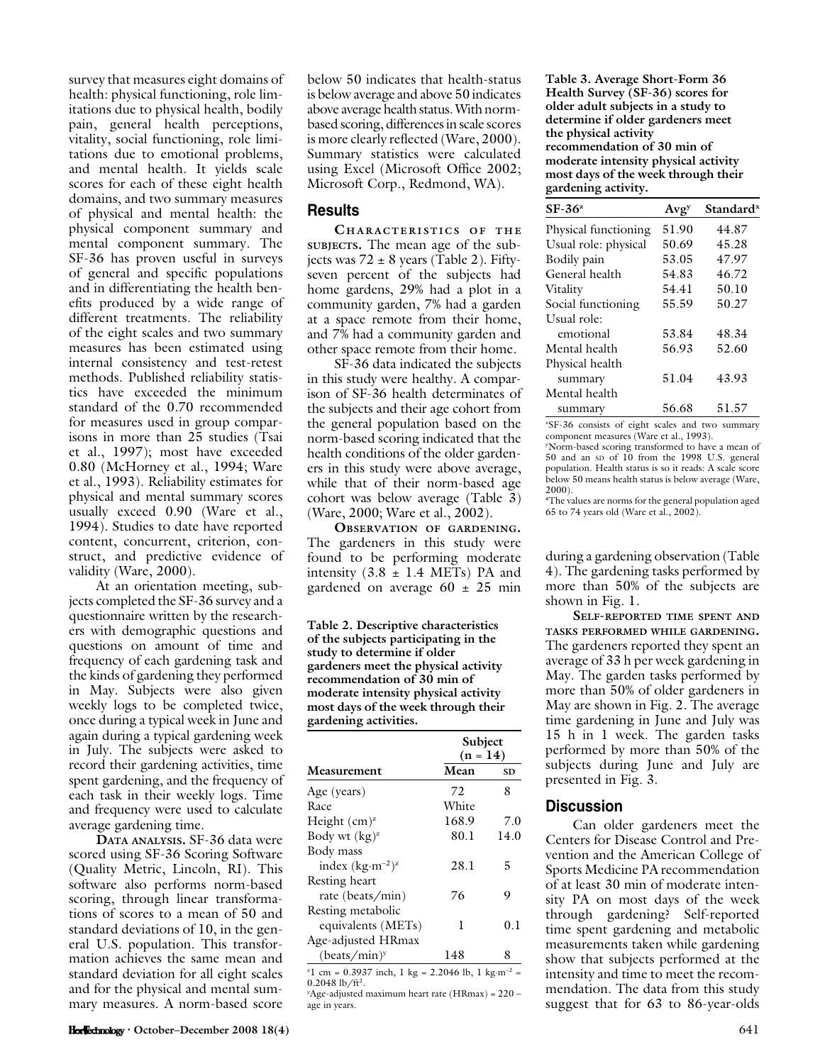survey that measures eight domains of health: physical functioning, role limitations due to physical health, bodily pain, general health perceptions, vitality, social functioning, role limitations due to emotional problems, and mental health. It yields scale scores for each of these eight health domains, and two summary measures of physical and mental health: the physical component summary and mental component summary. The SF-36 has proven useful in surveys of general and specific populations and in differentiating the health benefits produced by a wide range of different treatments. The reliability of the eight scales and two summary measures has been estimated using internal consistency and test-retest methods. Published reliability statistics have exceeded the minimum standard of the 0.70 recommended for measures used in group comparisons in more than 25 studies (Tsai et al., 1997); most have exceeded 0.80 (McHorney et al., 1994; Ware et al., 1993). Reliability estimates for physical and mental summary scores usually exceed 0.90 (Ware et al., 1994). Studies to date have reported content, concurrent, criterion, construct, and predictive evidence of validity (Ware, 2000).

At an orientation meeting, subjects completed the SF-36 survey and a questionnaire written by the researchers with demographic questions and questions on amount of time and frequency of each gardening task and the kinds of gardening they performed in May. Subjects were also given weekly logs to be completed twice, once during a typical week in June and again during a typical gardening week in July. The subjects were asked to record their gardening activities, time spent gardening, and the frequency of each task in their weekly logs. Time and frequency were used to calculate average gardening time.

DATA ANALYSIS. SF-36 data were scored using SF-36 Scoring Software (Quality Metric, Lincoln, RI). This software also performs norm-based scoring, through linear transformations of scores to a mean of 50 and standard deviations of 10, in the general U.S. population. This transformation achieves the same mean and standard deviation for all eight scales and for the physical and mental summary measures. A norm-based score

below 50 indicates that health-status is below average and above 50 indicates above average health status.With normbased scoring, differences in scale scores is more clearly reflected (Ware, 2000). Summary statistics were calculated using Excel (Microsoft Office 2002; Microsoft Corp., Redmond, WA).

## **Results**

CHARACTERISTICS OF THE SUBJECTS. The mean age of the subjects was  $72 \pm 8$  years (Table 2). Fiftyseven percent of the subjects had home gardens, 29% had a plot in a community garden, 7% had a garden at a space remote from their home, and 7% had a community garden and other space remote from their home.

SF-36 data indicated the subjects in this study were healthy. A comparison of SF-36 health determinates of the subjects and their age cohort from the general population based on the norm-based scoring indicated that the health conditions of the older gardeners in this study were above average, while that of their norm-based age cohort was below average (Table 3) (Ware, 2000; Ware et al., 2002).

OBSERVATION OF GARDENING. The gardeners in this study were found to be performing moderate intensity  $(3.8 \pm 1.4 \text{ METs})$  PA and gardened on average  $60 \pm 25$  min

Table 2. Descriptive characteristics of the subjects participating in the study to determine if older gardeners meet the physical activity recommendation of 30 min of moderate intensity physical activity most days of the week through their gardening activities.

|                          |       | Subject<br>$(n = 14)$ |  |  |
|--------------------------|-------|-----------------------|--|--|
| Measurement              | Mean  | <b>SD</b>             |  |  |
| Age (years)              | 72    | 8                     |  |  |
| Race                     | White |                       |  |  |
| Height $(cm)^{z}$        | 168.9 | 7.0                   |  |  |
| Body wt $(kg)^{z}$       | 80.1  | 14.0                  |  |  |
| Body mass                |       |                       |  |  |
| index $(kg·m-2)z$        | 28.1  | 5                     |  |  |
| Resting heart            |       |                       |  |  |
| rate (beats/min)         | 76    | 9                     |  |  |
| Resting metabolic        |       |                       |  |  |
| equivalents (METs)       | 1     | 0.1                   |  |  |
| Age-adjusted HRmax       |       |                       |  |  |
| (beats/min) <sup>y</sup> | 148   | 8                     |  |  |

z 1 cm =  $0.3937$  inch, 1 kg =  $2.2046$  lb, 1 kg·m<sup>-2</sup> =  $0.2048$  lb/ft<sup>2</sup>.

y Age-adjusted maximum heart rate (HRmax) = 220 – age in years.

Table 3. Average Short-Form 36 Health Survey (SF-36) scores for older adult subjects in a study to determine if older gardeners meet the physical activity recommendation of 30 min of moderate intensity physical activity most days of the week through their gardening activity.

| $SF-36^z$            | Avg <sub>y</sub> | Standard <sup>x</sup> |
|----------------------|------------------|-----------------------|
| Physical functioning | 51.90            | 44.87                 |
| Usual role: physical | 50.69            | 45.28                 |
| Bodily pain          | 53.05            | 47.97                 |
| General health       | 54.83            | 46.72                 |
| Vitality             | 54.41            | 50.10                 |
| Social functioning   | 55.59            | 50.27                 |
| Usual role:          |                  |                       |
| emotional            | 53.84            | 48.34                 |
| Mental health        | 56.93            | 52.60                 |
| Physical health      |                  |                       |
| summary              | 51.04            | 43.93                 |
| Mental health        |                  |                       |
| summary              | 56.68            | 51.57                 |

z SF-36 consists of eight scales and two summary component measures (Ware et al., 1993). y Norm-based scoring transformed to have a mean of 50 and an SD of 10 from the 1998 U.S. general population. Health status is so it reads: A scale score below 50 means health status is below average (Ware, 2000).

x The values are norms for the general population aged 65 to 74 years old (Ware et al., 2002).

during a gardening observation (Table 4). The gardening tasks performed by more than 50% of the subjects are shown in Fig. 1.

SELF-REPORTED TIME SPENT AND TASKS PERFORMED WHILE GARDENING. The gardeners reported they spent an average of 33 h per week gardening in May. The garden tasks performed by more than 50% of older gardeners in May are shown in Fig. 2. The average time gardening in June and July was 15 h in 1 week. The garden tasks performed by more than 50% of the subjects during June and July are presented in Fig. 3.

## **Discussion**

Can older gardeners meet the Centers for Disease Control and Prevention and the American College of Sports Medicine PA recommendation of at least 30 min of moderate intensity PA on most days of the week through gardening? Self-reported time spent gardening and metabolic measurements taken while gardening show that subjects performed at the intensity and time to meet the recommendation. The data from this study suggest that for 63 to 86-year-olds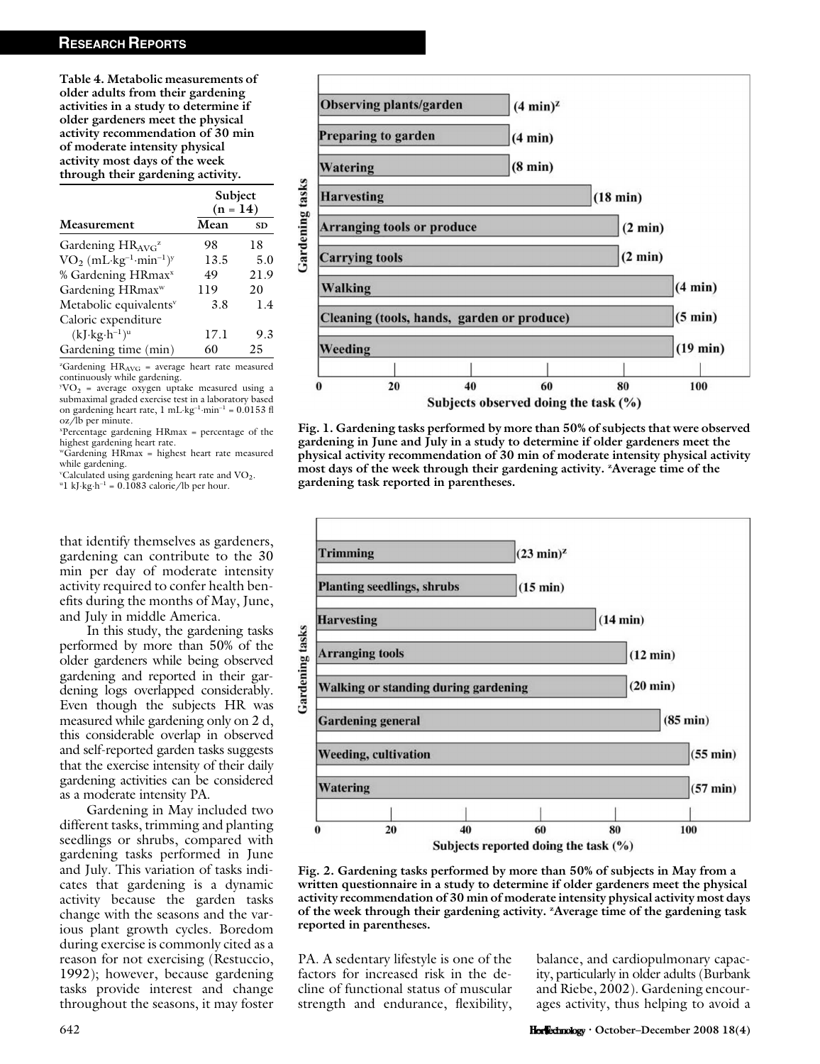Table 4. Metabolic measurements of older adults from their gardening activities in a study to determine if older gardeners meet the physical activity recommendation of 30 min of moderate intensity physical activity most days of the week through their gardening activity.

|                                    | Subject<br>$(n = 14)$ |           |
|------------------------------------|-----------------------|-----------|
| Measurement                        | Mean                  | <b>SD</b> |
| Gardening $HR_{AVG}^z$             | 98                    | 18        |
| $VO2 (mL·kg-1·min-1)y$             | 13.5                  | 5.0       |
| % Gardening HRmax <sup>x</sup>     | 49                    | 21.9      |
| Gardening HRmax <sup>w</sup>       | 119                   | 20        |
| Metabolic equivalents <sup>v</sup> | 3.8                   | 1.4       |
| Caloric expenditure                |                       |           |
| $(kJ \cdot kg \cdot h^{-1})^u$     | 17.1                  | 9.3       |
| Gardening time (min)               | 60                    | 25        |

z Gardening HRAVG = average heart rate measured continuously while gardening.

 $yVO<sub>2</sub>$  = average oxygen uptake measured using a submaximal graded exercise test in a laboratory based on gardening heart rate,  $1 \text{ mL} \cdot \text{kg}^{-1} \cdot \text{min}^{-1} = 0.0153 \text{ fl}$ oz/lb per minute.

x Percentage gardening HRmax = percentage of the highest gardening heart rate.

wGardening HRmax = highest heart rate measured while gardening.

VC alculated using gardening heart rate and  $\rm VO_2$ .<br><sup>u</sup>l kLkg.b<sup>-1</sup> = 0.1083 calorie (lb per bour  $1 \text{ kJ·kg·h<sup>-1</sup>} = 0.1083 \text{ calorie/lb per hour.}$ 

that identify themselves as gardeners, gardening can contribute to the 30 min per day of moderate intensity activity required to confer health benefits during the months of May, June, and July in middle America.

In this study, the gardening tasks performed by more than 50% of the older gardeners while being observed gardening and reported in their gardening logs overlapped considerably. Even though the subjects HR was measured while gardening only on 2 d, this considerable overlap in observed and self-reported garden tasks suggests that the exercise intensity of their daily gardening activities can be considered as a moderate intensity PA.

Gardening in May included two different tasks, trimming and planting seedlings or shrubs, compared with gardening tasks performed in June and July. This variation of tasks indicates that gardening is a dynamic activity because the garden tasks change with the seasons and the various plant growth cycles. Boredom during exercise is commonly cited as a reason for not exercising (Restuccio, 1992); however, because gardening tasks provide interest and change throughout the seasons, it may foster



Fig. 1. Gardening tasks performed by more than 50% of subjects that were observed gardening in June and July in a study to determine if older gardeners meet the physical activity recommendation of 30 min of moderate intensity physical activity most days of the week through their gardening activity. <sup>z</sup>Average time of the gardening task reported in parentheses.



Fig. 2. Gardening tasks performed by more than 50% of subjects in May from a written questionnaire in a study to determine if older gardeners meet the physical activity recommendation of 30 min of moderate intensity physical activity most days of the week through their gardening activity. <sup>2</sup>Average time of the gardening task reported in parentheses.

PA. A sedentary lifestyle is one of the factors for increased risk in the decline of functional status of muscular strength and endurance, flexibility,

balance, and cardiopulmonary capacity, particularly in older adults (Burbank and Riebe, 2002). Gardening encourages activity, thus helping to avoid a